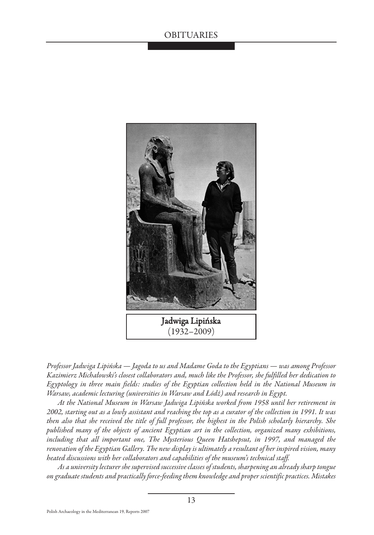

*Professor Jadwiga Lipińska — Jagoda to us and Madame Goda to the Egyptians — was among Professor Kazimierz Michałowski's closest collaborators and, much like the Professor, she fulfilled her dedication to Egyptology in three main fields: studies of the Egyptian collection held in the National Museum in Warsaw, academic lecturing (universities in Warsaw and Łódź) and research in Egypt.*

*At the National Museum in Warsaw Jadwiga Lipińska worked from 1958 until her retirement in 2002, starting out as a lowly assistant and reaching the top as a curator of the collection in 1991. It was then also that she received the title of full professor, the highest in the Polish scholarly hierarchy. She published many of the objects of ancient Egyptian art in the collection, organized many exhibitions, including that all important one, The Mysterious Queen Hatshepsut, in 1997, and managed the renovation of the Egyptian Gallery. The new display is ultimately a resultant of her inspired vision, many heated discussions with her collaborators and capabilities of the museum's technical staff.*

*As a university lecturer she supervised successive classes of students, sharpening an already sharp tongue on graduate students and practically force-feeding them knowledge and proper scientific practices. Mistakes*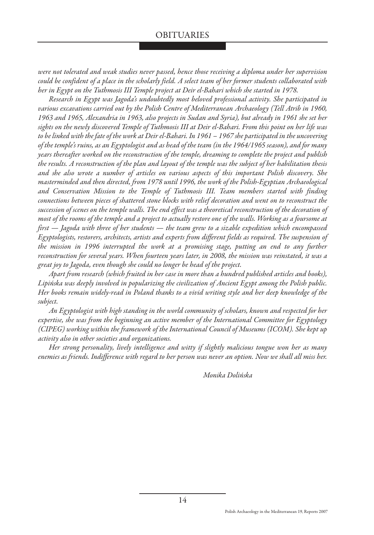*were not tolerated and weak studies never passed, hence those receiving a diploma under her supervision could be confident of a place in the scholarly field. A select team of her former students collaborated with her in Egypt on the Tuthmosis III Temple project at Deir el-Bahari which she started in 1978.* 

*Research in Egypt was Jagoda's undoubtedly most beloved professional activity. She participated in various excavations carried out by the Polish Centre of Mediterranean Archaeology (Tell Atrib in 1960, 1963 and 1965, Alexandria in 1963, also projects in Sudan and Syria), but already in 1961 she set her sights on the newly discovered Temple of Tuthmosis III at Deir el-Bahari. From this point on her life was to be linked with the fate of the work at Deir el-Bahari. In 1961 – 1967 she participated in the uncovering of the temple's ruins, as an Egyptologist and as head of the team (in the 1964/1965 season), and for many years thereafter worked on the reconstruction of the temple, dreaming to complete the project and publish the results. A reconstruction of the plan and layout of the temple was the subject of her habilitation thesis and she also wrote a number of articles on various aspects of this important Polish discovery. She masterminded and then directed, from 1978 until 1996, the work of the Polish-Egyptian Archaeological and Conservation Mission to the Temple of Tuthmosis III. Team members started with finding connections between pieces of shattered stone blocks with relief decoration and went on to reconstruct the succession of scenes on the temple walls. The end effect was a theoretical reconstruction of the decoration of most of the rooms of the temple and a project to actually restore one of the walls. Working as a foursome at first — Jagoda with three of her students — the team grew to a sizable expedition which encompassed Egyptologists, restorers, architects, artists and experts from different fields as required. The suspension of the mission in 1996 interrupted the work at a promising stage, putting an end to any further reconstruction for several years. When fourteen years later, in 2008, the mission was reinstated, it was a great joy to Jagoda, even though she could no longer be head of the project.* 

*Apart from research (which fruited in her case in more than a hundred published articles and books), Lipińska was deeply involved in popularizing the civilization of Ancient Egypt among the Polish public. Her books remain widely-read in Poland thanks to a vivid writing style and her deep knowledge of the subject.*

*An Egyptologist with high standing in the world community of scholars, known and respected for her expertise, she was from the beginning an active member of the International Committee for Egyptology (CIPEG) working within the framework of the International Council of Museums (ICOM). She kept up activity also in other societies and organizations.* 

*Her strong personality, lively intelligence and witty if slightly malicious tongue won her as many enemies as friends. Indifference with regard to her person was never an option. Now we shall all miss her.*

*Monika Dolińska*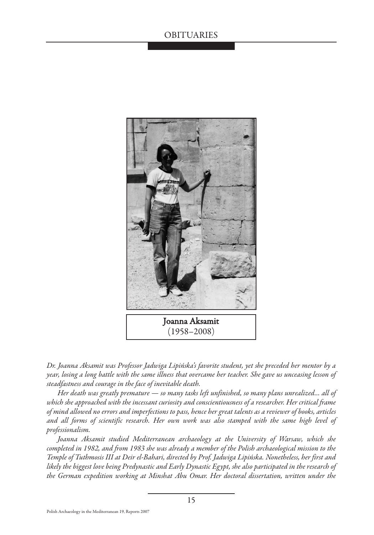

*Dr. Joanna Aksamit was Professor Jadwiga Lipińska's favorite student, yet she preceded her mentor by a year, losing a long battle with the same illness that overcame her teacher. She gave us unceasing lesson of steadfastness and courage in the face of inevitable death.*

*Her death was greatly premature — so many tasks left unfinished, so many plans unrealized… all of which she approached with the incessant curiosity and conscientiousness of a researcher. Her critical frame of mind allowed no errors and imperfections to pass, hence her great talents as a reviewer of books, articles and all forms of scientific research. Her own work was also stamped with the same high level of professionalism.*

*Joanna Aksamit studied Mediterranean archaeology at the University of Warsaw, which she completed in 1982, and from 1983 she was already a member of the Polish archaeological mission to the Temple of Tuthmosis III at Deir el-Bahari, directed by Prof. Jadwiga Lipińska. Nonetheless, her first and likely the biggest love being Predynastic and Early Dynastic Egypt, she also participated in the research of the German expedition working at Minshat Abu Omar. Her doctoral dissertation, written under the*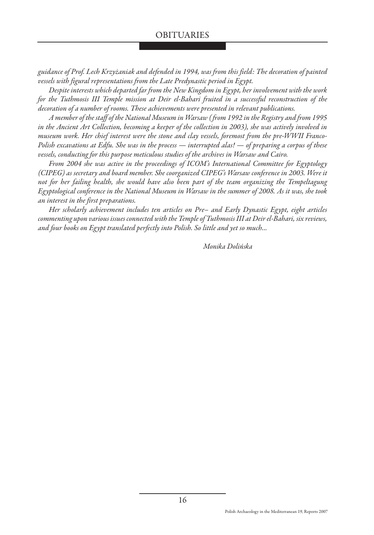*guidance of Prof. Lech Krzyżaniak and defended in 1994, was from this field: The decoration of painted vessels with figural representations from the Late Predynastic period in Egypt.* 

*Despite interests which departed far from the New Kingdom in Egypt, her involvement with the work for the Tuthmosis III Temple mission at Deir el-Bahari fruited in a successful reconstruction of the decoration of a number of rooms. These achievements were presented in relevant publications.*

*A member of the staff of the National Museum in Warsaw ( from 1992 in the Registry and from 1995 in the Ancient Art Collection, becoming a keeper of the collection in 2003), she was actively involved in museum work. Her chief interest were the stone and clay vessels, foremost from the pre-WWII Franco-Polish excavations at Edfu. She was in the process — interrupted alas! — of preparing a corpus of these vessels, conducting for this purpose meticulous studies of the archives in Warsaw and Cairo.*

*From 2004 she was active in the proceedings of ICOM's International Committee for Egyptology (CIPEG) as secretary and board member. She coorganized CIPEG's Warsaw conference in 2003. Were it not for her failing health, she would have also been part of the team organizing the Tempeltagung Egyptological conference in the National Museum in Warsaw in the summer of 2008. As it was, she took an interest in the first preparations.*

*Her scholarly achievement includes ten articles on Pre– and Early Dynastic Egypt, eight articles commenting upon various issues connected with the Temple of Tuthmosis III at Deir el-Bahari, six reviews, and four books on Egypt translated perfectly into Polish. So little and yet so much...*

*Monika Dolińska*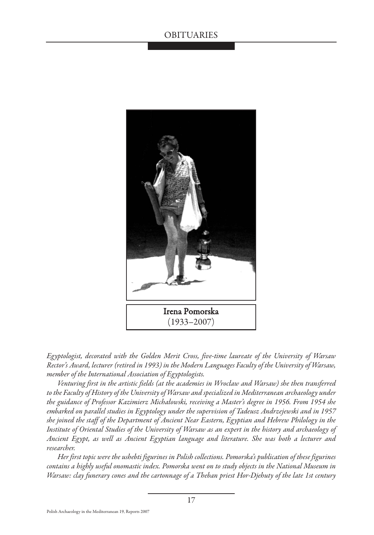

*Egyptologist, decorated with the Golden Merit Cross, five-time laureate of the University of Warsaw Rector's Award, lecturer (retired in 1993) in the Modern Languages Faculty of the University of Warsaw, member of the International Association of Egyptologists.*

*Venturing first in the artistic fields (at the academies in Wrocław and Warsaw) she then transferred to the Faculty of History of the University of Warsaw and specialized in Mediterranean archaeology under the guidance of Professor Kazimierz Michałowski, receiving a Master's degree in 1956. From 1954 she embarked on parallel studies in Egyptology under the supervision of Tadeusz Andrzejewski and in 1957 she joined the staff of the Department of Ancient Near Eastern, Egyptian and Hebrew Philology in the Institute of Oriental Studies of the University of Warsaw as an expert in the history and archaeology of Ancient Egypt, as well as Ancient Egyptian language and literature. She was both a lecturer and researcher.*

*Her first topic were the ushebti figurines in Polish collections. Pomorska's publication of these figurines contains a highly useful onomastic index. Pomorska went on to study objects in the National Museum in Warsaw: clay funerary cones and the cartonnage of a Theban priest Hor-Djehuty of the late 1st century*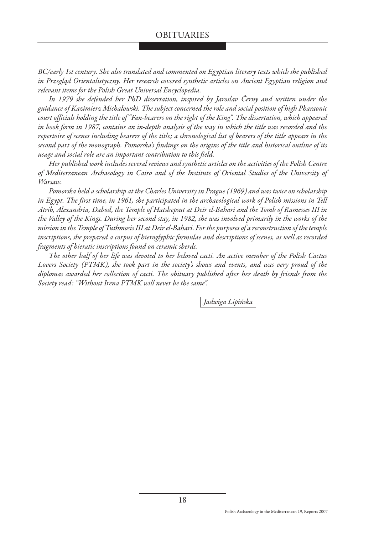*BC/early 1st century. She also translated and commented on Egyptian literary texts which she published in Przegląd Orientalistyczny. Her research covered synthetic articles on Ancient Egyptian religion and relevant items for the Polish Great Universal Encyclopedia.* 

*In 1979 she defended her PhD dissertation, inspired by Jaroslav Černy and written under the guidance of Kazimierz Michałowski. The subject concerned the role and social position of high Pharaonic court officials holding the title of "Fan-bearers on the right of the King". The dissertation, which appeared in book form in 1987, contains an in-depth analysis of the way in which the title was recorded and the repertoire of scenes including bearers of the title; a chronological list of bearers of the title appears in the second part of the monograph. Pomorska's findings on the origins of the title and historical outline of its usage and social role are an important contribution to this field.* 

*Her published work includes several reviews and synthetic articles on the activities of the Polish Centre of Mediterranean Archaeology in Cairo and of the Institute of Oriental Studies of the University of Warsaw.*

*Pomorska held a scholarship at the Charles University in Prague (1969) and was twice on scholarship in Egypt. The first time, in 1961, she participated in the archaeological work of Polish missions in Tell Atrib, Alexandria, Dabod, the Temple of Hatshepsut at Deir el-Bahari and the Tomb of Ramesses III in the Valley of the Kings. During her second stay, in 1982, she was involved primarily in the works of the mission in the Temple of Tuthmosis III at Deir el-Bahari. For the purposes of a reconstruction of the temple inscriptions, she prepared a corpus of hieroglyphic formulae and descriptions of scenes, as well as recorded fragments of hieratic inscriptions found on ceramic sherds.*

*The other half of her life was devoted to her beloved cacti. An active member of the Polish Cactus Lovers Society (PTMK), she took part in the society's shows and events, and was very proud of the diplomas awarded her collection of cacti. The obituary published after her death by friends from the Society read: "Without Irena PTMK will never be the same".*

*Jadwiga Lipińska*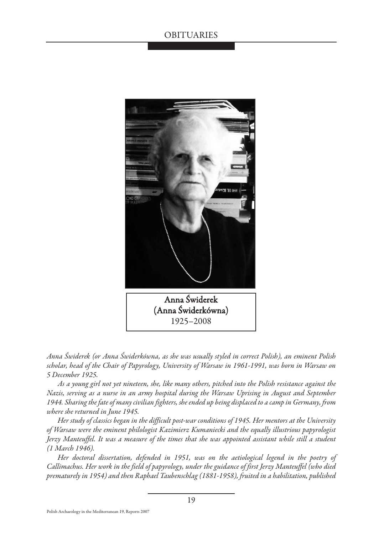

*Anna Świderek (or Anna Świderkówna, as she was usually styled in correct Polish), an eminent Polish scholar, head of the Chair of Papyrology, University of Warsaw in 1961-1991, was born in Warsaw on 5 December 1925.* 

*As a young girl not yet nineteen, she, like many others, pitched into the Polish resistance against the Nazis, serving as a nurse in an army hospital during the Warsaw Uprising in August and September 1944. Sharing the fate of many civilian fighters, she ended up being displaced to a camp in Germany, from where she returned in June 1945.*

*Her study of classics began in the difficult post-war conditions of 1945. Her mentors at the University of Warsaw were the eminent philologist Kazimierz Kumaniecki and the equally illustrious papyrologist Jerzy Manteuffel. It was a measure of the times that she was appointed assistant while still a student (1 March 1946).* 

*Her doctoral dissertation, defended in 1951, was on the aetiological legend in the poetry of Callimachus. Her work in the field of papyrology, under the guidance of first Jerzy Manteuffel (who died prematurely in 1954) and then Raphael Taubenschlag (1881-1958), fruited in a habilitation, published*